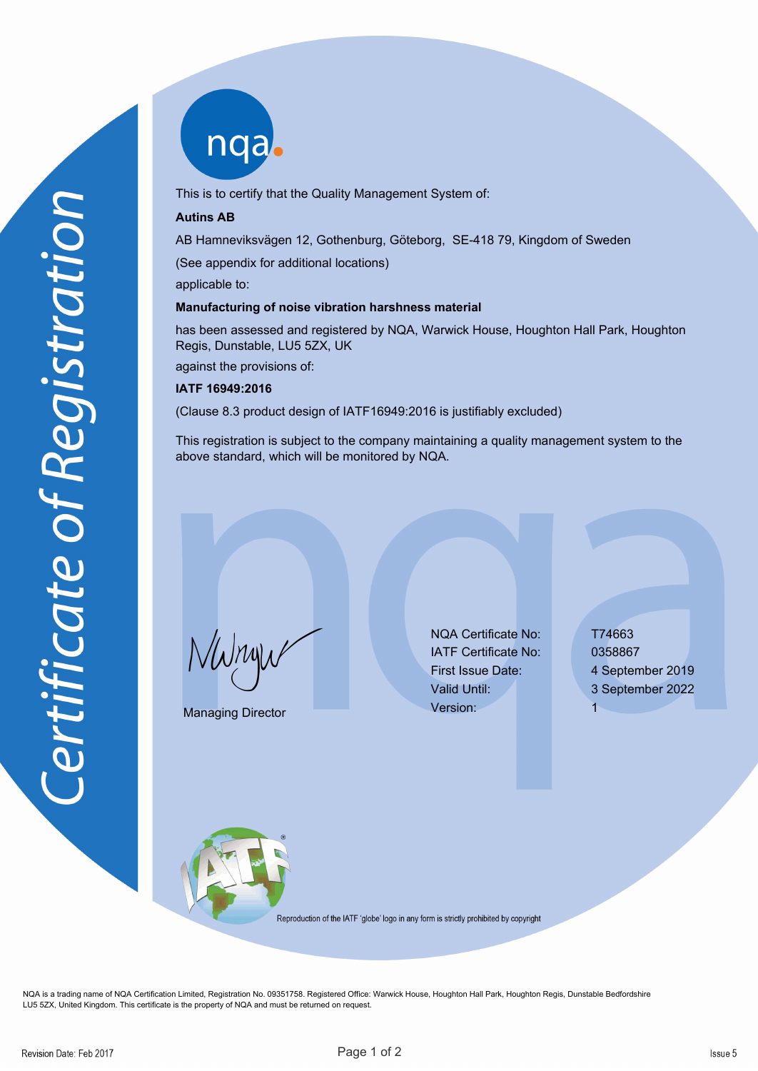nqab

This is to certify that the Quality Management System of:

## **Autins AB**

AB Hamneviksvägen 12, Gothenburg, Göteborg, SE-418 79, Kingdom of Sweden

(See appendix for additional locations)

applicable to:

## **Manufacturing of noise vibration harshness material**

has been assessed and registered by NQA, Warwick House, Houghton Hall Park, Houghton Regis, Dunstable, LU5 5ZX, UK

against the provisions of:

## **IATF 16949:2016**

(Clause 8.3 product design of IATF16949:2016 is justifiably excluded)

This registration is subject to the company maintaining a quality management system to the above standard, which will be monitored by NQA.

NWnyw

Managing Director

NQA Certificate No: T74663 IATF Certificate No: 0358867 First Issue Date: 4 September 2019 Valid Until: 3 September 2022 Version: 1



Reproduction of the IATF 'globe' logo in any form is strictly prohibited by copyright

NQA is a trading name of NQA Certification Limited, Registration No. 09351758. Registered Office: Warwick House, Houghton Hall Park, Houghton Regis, Dunstable Bedfordshire LU5 5ZX, United Kingdom. This certificate is the property of NQA and must be returned on request.